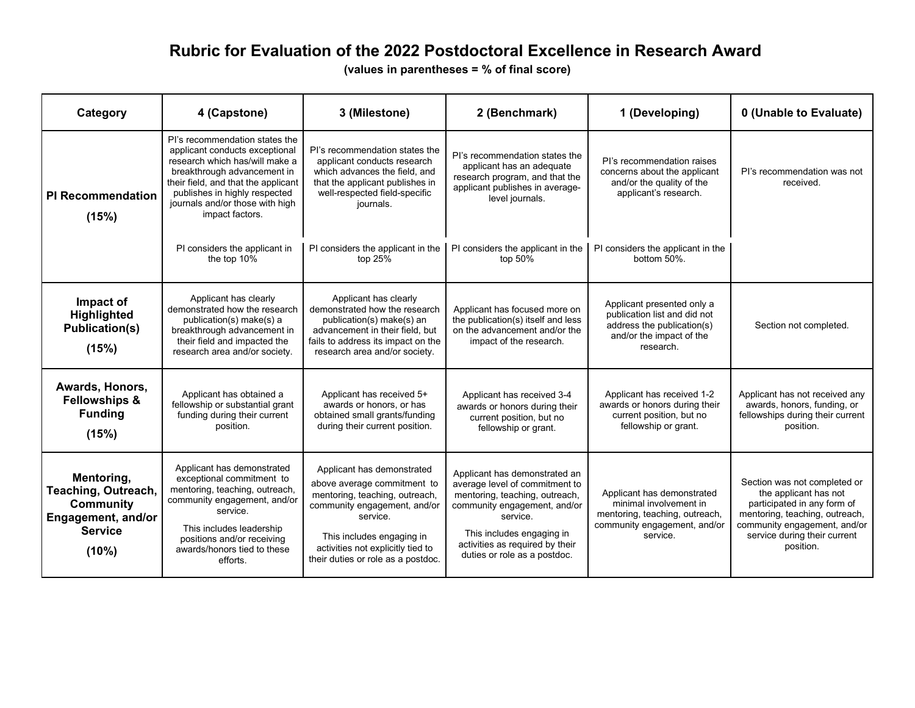## **Rubric for Evaluation of the 2022 Postdoctoral Excellence in Research Award**

**(values in parentheses = % of final score)**

| Category                                                                                               | 4 (Capstone)                                                                                                                                                                                                                                                    | 3 (Milestone)                                                                                                                                                                                                                                   | 2 (Benchmark)                                                                                                                                                                                                                                 | 1 (Developing)                                                                                                                     | 0 (Unable to Evaluate)                                                                                                                                                                              |
|--------------------------------------------------------------------------------------------------------|-----------------------------------------------------------------------------------------------------------------------------------------------------------------------------------------------------------------------------------------------------------------|-------------------------------------------------------------------------------------------------------------------------------------------------------------------------------------------------------------------------------------------------|-----------------------------------------------------------------------------------------------------------------------------------------------------------------------------------------------------------------------------------------------|------------------------------------------------------------------------------------------------------------------------------------|-----------------------------------------------------------------------------------------------------------------------------------------------------------------------------------------------------|
| <b>PI Recommendation</b><br>(15%)                                                                      | PI's recommendation states the<br>applicant conducts exceptional<br>research which has/will make a<br>breakthrough advancement in<br>their field, and that the applicant<br>publishes in highly respected<br>journals and/or those with high<br>impact factors. | PI's recommendation states the<br>applicant conducts research<br>which advances the field, and<br>that the applicant publishes in<br>well-respected field-specific<br>journals.                                                                 | PI's recommendation states the<br>applicant has an adequate<br>research program, and that the<br>applicant publishes in average-<br>level journals.                                                                                           | PI's recommendation raises<br>concerns about the applicant<br>and/or the quality of the<br>applicant's research.                   | PI's recommendation was not<br>received.                                                                                                                                                            |
|                                                                                                        | PI considers the applicant in<br>the top 10%                                                                                                                                                                                                                    | PI considers the applicant in the<br>top 25%                                                                                                                                                                                                    | PI considers the applicant in the<br>top 50%                                                                                                                                                                                                  | PI considers the applicant in the<br>bottom 50%.                                                                                   |                                                                                                                                                                                                     |
| Impact of<br>Highlighted<br><b>Publication(s)</b><br>(15%)                                             | Applicant has clearly<br>demonstrated how the research<br>publication(s) make(s) a<br>breakthrough advancement in<br>their field and impacted the<br>research area and/or society.                                                                              | Applicant has clearly<br>demonstrated how the research<br>publication(s) make(s) an<br>advancement in their field, but<br>fails to address its impact on the<br>research area and/or society.                                                   | Applicant has focused more on<br>the publication(s) itself and less<br>on the advancement and/or the<br>impact of the research.                                                                                                               | Applicant presented only a<br>publication list and did not<br>address the publication(s)<br>and/or the impact of the<br>research.  | Section not completed.                                                                                                                                                                              |
| Awards, Honors,<br><b>Fellowships &amp;</b><br><b>Funding</b><br>(15%)                                 | Applicant has obtained a<br>fellowship or substantial grant<br>funding during their current<br>position.                                                                                                                                                        | Applicant has received 5+<br>awards or honors, or has<br>obtained small grants/funding<br>during their current position.                                                                                                                        | Applicant has received 3-4<br>awards or honors during their<br>current position, but no<br>fellowship or grant.                                                                                                                               | Applicant has received 1-2<br>awards or honors during their<br>current position, but no<br>fellowship or grant.                    | Applicant has not received any<br>awards, honors, funding, or<br>fellowships during their current<br>position.                                                                                      |
| Mentoring,<br>Teaching, Outreach,<br><b>Community</b><br>Engagement, and/or<br><b>Service</b><br>(10%) | Applicant has demonstrated<br>exceptional commitment to<br>mentoring, teaching, outreach,<br>community engagement, and/or<br>service.<br>This includes leadership<br>positions and/or receiving<br>awards/honors tied to these<br>efforts.                      | Applicant has demonstrated<br>above average commitment to<br>mentoring, teaching, outreach,<br>community engagement, and/or<br>service.<br>This includes engaging in<br>activities not explicitly tied to<br>their duties or role as a postdoc. | Applicant has demonstrated an<br>average level of commitment to<br>mentoring, teaching, outreach,<br>community engagement, and/or<br>service.<br>This includes engaging in<br>activities as required by their<br>duties or role as a postdoc. | Applicant has demonstrated<br>minimal involvement in<br>mentoring, teaching, outreach,<br>community engagement, and/or<br>service. | Section was not completed or<br>the applicant has not<br>participated in any form of<br>mentoring, teaching, outreach,<br>community engagement, and/or<br>service during their current<br>position. |